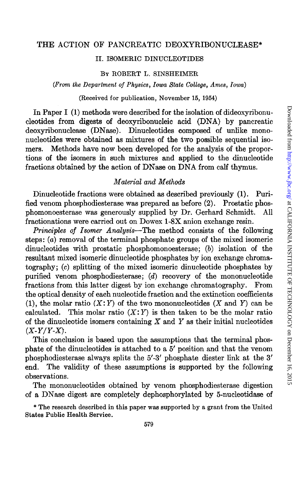#### **THE** ACTION OF PANCREATIC DEOXYRIBONUCLEASE\*

## IL ISOMERIC DINUCLEOTIDES

#### BY ROBERT L. SINSHEIMER

*(From the Department of Physics, Iowa State College, Ames, Iowa)* 

(Received for publication, November 15, 1954)

In Paper I (1) methods were described for the isolation of dideoxyribonucleotides from digests of deoxyribonucleic acid (DNA) by pancreatic deoxyribonuclease (DNase). Dinucleotides composed of unlike mononucleotides were obtained as mixtures of the two possible sequential isomers. Methods have now been developed for the analysis of the proportions of the isomers in such mixtures and applied to the dinucleotide fractions obtained by the action of DNase on DNA from calf thymus.

## *Material and Methods*

Dinucleotide fractions were obtained as described previously (1). Purified venom phosphodiesterase was prepared as before (2). Prostatic phosphomonoesterase was generously supplied by Dr. Gerhard Schmidt. All fractionations were carried out on Dowex 1-SX anion exchange resin.

*Principles of Isomer Analysis-The* method consists of the following steps: (a) removal of the terminal phosphate groups of the mixed isomeric dinucleotides with prostatic phosphomonoesterase; (b) isolation of the resultant mixed isomeric dinucleotide phosphates by ion exchange chromatography; (c) splitting of the mixed isomeric dinucleotide phosphates by purified venom phosphodiesterase; (d) recovery of the mononucleotide fractions from this latter digest by ion exchange chromatography. From the optical density of each nucleotide fraction and the extinction coefficients (1), the molar ratio  $(X:Y)$  of the two mononucleotides  $(X \text{ and } Y)$  can be calculated. This molar ratio  $(X:Y)$  is then taken to be the molar ratio of the dinucleotide isomers containing  $X$  and  $Y$  as their initial nucleotides  $(X-Y/Y-X)$ .

This conclusion is based upon the assumptions that the terminal phosphate of the dinucleotides is attached to a 5' position and that the venom phosphodiesterase always splits the 5'-3' phosphate diester link at the 3' end. The validity of these assumptions is supported by the following observations.

The mononucleotides obtained by venom phosphodiesterase digestion of a DN ase digest are completely dephosphorylated by 5-nucleotidase of

\* The research described in this paper was supported by a grant from the United States Public Health Service.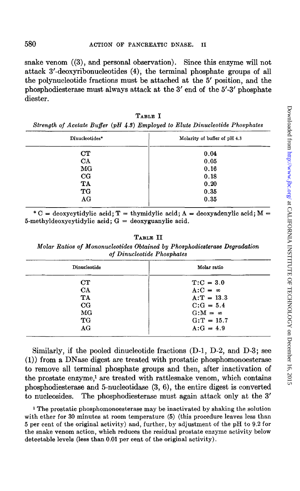snake venom ((3), and personal observation). Since this enzyme will not attack 3'-deoxyribonucleotides (4), the terminal phosphate groups of all the polynucleotide fractions must be attached at the 5' position, and the phosphodiesterase must always attack at the 3' end of the 5' -3' phosphate diester.

TABLE I *Strength of Acetate Buffer (pH 4.3) Employed to Elute Dinucleotide Phosphates* 

| Dinucleotides*  | Molarity of buffer of pH 4.3 |  |  |
|-----------------|------------------------------|--|--|
| <b>CT</b>       | 0.04                         |  |  |
| CA              | 0.05                         |  |  |
| MG <sub>1</sub> | 0.16                         |  |  |
| $_{\rm CG}$     | 0.18                         |  |  |
| TA              | 0.20                         |  |  |
| TG              | 0.35                         |  |  |
| AG              | 0.35                         |  |  |
|                 |                              |  |  |

\* C = deoxycytidylic acid; T = thymidylic acid; A = deoxyadenylic acid; M = 5-methyldeoxycytidylic acid;  $G =$  deoxyguanylic acid.

TABLE II

*Molar Ratios of Mononucleotides Obtained by Phosphodiesterase Degradation of Dinucleotide Phosphates* 

| Dinucleotide    | Molar ratio     |  |  |
|-----------------|-----------------|--|--|
| CT              | $T: C = 3.0$    |  |  |
| CA              | $A:C = \infty$  |  |  |
| <b>TA</b>       | $A: T = 13.3$   |  |  |
| CG              | $C:G = 5.4$     |  |  |
| MG <sub>1</sub> | $G: M = \infty$ |  |  |
| TG              | $G: T = 15.7$   |  |  |
| AG              | $A:G = 4.9$     |  |  |

Similarly, if the pooled dinucleotide fractions (D-1, D-2, and D-3; see (1)) from a DNase digest are treated with prostatic phosphomonoesterase to remove all terminal phosphate groups and then, after inactivation of the prostate enzyme,1 are treated with rattlesnake venom, which contains phosphodiesterase and 5-nucleotidase (3, 6), the entire digest is converted to nucleosides. The phosphodiesterase must again attack only at the 3'

<sup>1</sup> The prostatic phosphomonoesterase may be inactivated by shaking the solution with ether for 30 minutes at room temperature (5) (this procedure leaves less than 5 per cent of the original activity) and, further, by adjustment of the pH to 9.2 for the snake venom action, which reduces the residual prostate enzyme activity below detectable levels (less than 0.01 per cent of the original activity).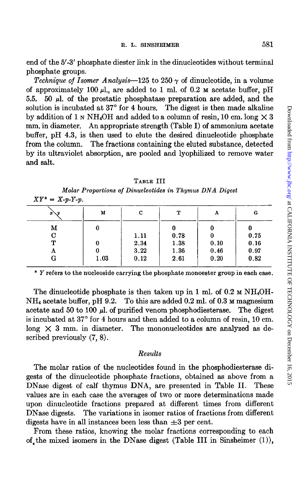end of the 5' -3' phosphate diester link in the dinucleotides without terminal phosphate groups.

*Technique of Isomer Analysis*—125 to 250  $\gamma$  of dinucleotide, in a volume of approximately 100  $\mu$ l., are added to 1 ml. of 0.2  $\mu$  acetate buffer, pH 5.5. 50  $\mu$ l. of the prostatic phosphatase preparation are added, and the solution is incubated at 37° for 4 hours. The digest is then made alkaline by addition of 1 N NH<sub>4</sub>OH and added to a column of resin, 10 cm. long  $\times$  3 mm. in diameter. An appropriate strength (Table I) of ammonium acetate buffer, pH 4.3, is then used to elute the desired dinucleotide phosphate from the column. The fractions containing the eluted substance, detected by its ultraviolet absorption, are pooled and lyophilized to remove water and salt.

| $x \vee y$ | М    | с    | т    | Α    | G    |
|------------|------|------|------|------|------|
| М          |      |      |      | 0    |      |
| С          |      | 1.11 | 0.78 | 0    | 0.75 |
| ፐ          | 0    | 2.34 | 1.38 | 0.10 | 0.16 |
| Α          | 0    | 3.22 | 1.36 | 0.46 | 0.97 |
| G          | 1.03 | 0.12 | 2.61 | 0.20 | 0.82 |

TABLE III *Molar Proportions of Dinucleotides in Thymus DNA Digest* 

\* *Y* refers to the nucleoside carrying the phosphate monoester group in each case.

The dinucleotide phosphate is then taken up in 1 ml. of  $0.2 \text{ m} \text{ NH}_4\text{OH}$ - $NH<sub>4</sub>$  acetate buffer, pH 9.2. To this are added 0.2 ml. of 0.3 M magnesium acetate and 50 to 100  $\mu$ , of purified venom phosphodiesterase. The digest is incubated at 37° for 4 hours and then added to a column of resin, 10 cm. long  $\times$  3 mm. in diameter. The mononucleotides are analyzed as described previously (7, 8).

### *Results*

The molar ratios of the nucleotides found in the phosphodiesterase digests of the dinucleotide phosphate fractions, obtained as above from a DNase digest of calf thymus DNA, are presented in Table II. These values are in each case the averages of two or more determinations made upon dinucleotide fractions prepared at different times from different DN ase digests. The variations in isomer ratios of fractions from different digests have in all instances been less than  $\pm 3$  per cent.

From these ratios, knowing the molar fractions corresponding to each of the mixed isomers in the DNase digest (Table III in Sinsheimer  $(1)$ ),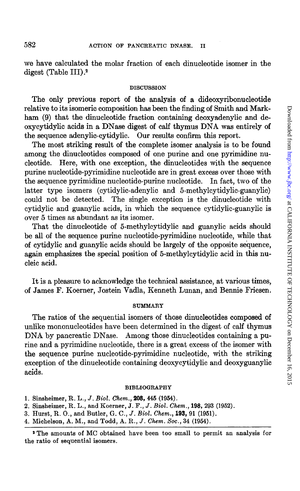we have calculated the molar fraction of each dinucleotide isomer in the digest (Table III).2

### DISCUSSION

The only previous report of the analysis of a dideoxyribonucleotide relative to its isomeric composition has been the finding of Smith and Markham (9) that the dinucleotide fraction containing deoxyadenylic and deoxycytidylic acids in a DNase digest of calf thymus DNA was entirely of the sequence adenylic-cytidylic. Our results confirm this report.

The most striking result of the complete isomer analysis is to be found among the dinucleotides composed of one purine and one pyrimidine nucleotide. Here, with one exception, the dinucleotides with the sequence purine nucleotide-pyrimidine nucleotide are in great excess over those with the sequence pyrimidine nucleotide-purine nucleotide. In fact, two of the latter type isomers (cytidylic-adenylic and 5-methylcytidylic-guanylic) could not be detected. The single exception is the dinucleotide with cytidylic and guanylic acids, in which the sequence cytidylic-guanylic is over 5 times as abundant as its isomer.

That the dinucleotide of 5-methylcytidylic and guanylic acids should be all of the sequence purine nucleotide-pyrimidine nucleotide, while that of cytidylic and guanylic acids should be largely of the opposite sequence, again emphasizes the special position of 5-methylcytidylic acid in this nucleic acid.

It is a pleasure to acknowledge the technical assistance, at various times, of James F. Koerner, Jostein Vadla, Kenneth Lunan, and Bennie Friesen.

#### SUMMARY

The ratios of the sequential isomers of those dinucleotides composed of unlike mononucleotides have been determined in the digest of calf thymus DNA by pancreatic DNase. Among those dinucleotides containing a purine and a pyrimidine nucleotide, there is a great excess of the isomer with the sequence purine nucleotide-pyrimidine nucleotide, with the striking exception of the dinucleotide containing deoxycytidylic and deoxyguanylic acids.

#### BIBLIOGRAPHY

4. Michelson, A. M., and Todd, A. R., J. *Chem. Soc.,* 34 (1954).

<sup>1.</sup> Sinsheimer, R. L., J. *Biol. Chem.,* **208,** 445 (1954).

<sup>2.</sup> Sinsheimer, R. L., and Koerner, J. F., J. *Biol. Chem.,* **198,** 293 (1952).

<sup>3.</sup> Hurst, R. 0., and Butler, G. C., J. *Biol. Chem.,* **193,** 91 (1951).

<sup>2</sup> The amounts of MC obtained have been too small to permit an analysis for the ratio of sequential isomers.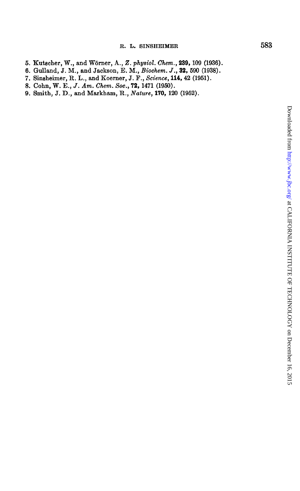- 5. Kutscher, W., and Worner, A., *Z. physiol. Chem.,* **239,** 109 (1936).
- 6. Gulland, J.M., and Jackson, E. M., *Biochem.* J., **32,** 590 (1938).
- 7. Sinsheimer, R. L., and Koerner, J. F., *Science,* **114,** 42 (1951).
- 8. Cohn, W. E., J. *Am. Chem. Soc.,* 72, 1471 (1950).
- 9. Smith, J. D., and Markham, R., *Nature,* **170,** 120 (1952).